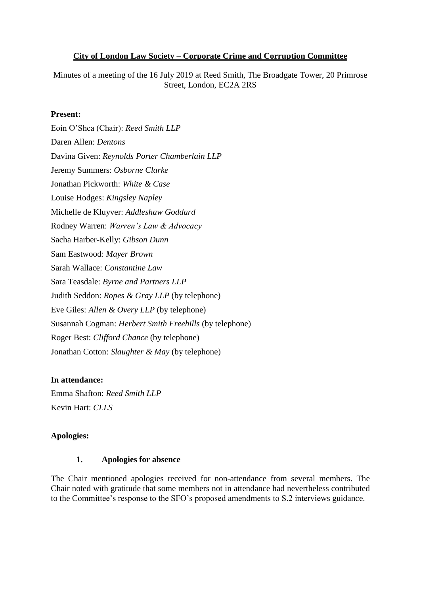#### **City of London Law Society – Corporate Crime and Corruption Committee**

Minutes of a meeting of the 16 July 2019 at Reed Smith, The Broadgate Tower, 20 Primrose Street, London, EC2A 2RS

#### **Present:**

Eoin O'Shea (Chair): *Reed Smith LLP* Daren Allen: *Dentons* Davina Given: *Reynolds Porter Chamberlain LLP* Jeremy Summers: *Osborne Clarke* Jonathan Pickworth: *White & Case* Louise Hodges: *Kingsley Napley* Michelle de Kluyver: *Addleshaw Goddard* Rodney Warren: *Warren's Law & Advocacy* Sacha Harber-Kelly: *Gibson Dunn* Sam Eastwood: *Mayer Brown* Sarah Wallace: *Constantine Law* Sara Teasdale: *Byrne and Partners LLP* Judith Seddon: *Ropes & Gray LLP* (by telephone) Eve Giles: *Allen & Overy LLP* (by telephone) Susannah Cogman: *Herbert Smith Freehills* (by telephone) Roger Best: *Clifford Chance* (by telephone) Jonathan Cotton: *Slaughter & May* (by telephone)

#### **In attendance:**

Emma Shafton: *Reed Smith LLP* Kevin Hart: *CLLS*

#### **Apologies:**

#### **1. Apologies for absence**

The Chair mentioned apologies received for non-attendance from several members. The Chair noted with gratitude that some members not in attendance had nevertheless contributed to the Committee's response to the SFO's proposed amendments to S.2 interviews guidance.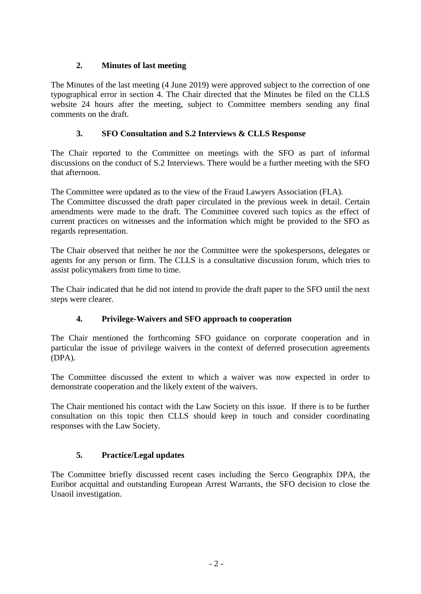## **2. Minutes of last meeting**

The Minutes of the last meeting (4 June 2019) were approved subject to the correction of one typographical error in section 4. The Chair directed that the Minutes be filed on the CLLS website 24 hours after the meeting, subject to Committee members sending any final comments on the draft.

## **3. SFO Consultation and S.2 Interviews & CLLS Response**

The Chair reported to the Committee on meetings with the SFO as part of informal discussions on the conduct of S.2 Interviews. There would be a further meeting with the SFO that afternoon.

The Committee were updated as to the view of the Fraud Lawyers Association (FLA).

The Committee discussed the draft paper circulated in the previous week in detail. Certain amendments were made to the draft. The Committee covered such topics as the effect of current practices on witnesses and the information which might be provided to the SFO as regards representation.

The Chair observed that neither he nor the Committee were the spokespersons, delegates or agents for any person or firm. The CLLS is a consultative discussion forum, which tries to assist policymakers from time to time.

The Chair indicated that he did not intend to provide the draft paper to the SFO until the next steps were clearer.

## **4. Privilege-Waivers and SFO approach to cooperation**

The Chair mentioned the forthcoming SFO guidance on corporate cooperation and in particular the issue of privilege waivers in the context of deferred prosecution agreements (DPA).

The Committee discussed the extent to which a waiver was now expected in order to demonstrate cooperation and the likely extent of the waivers.

The Chair mentioned his contact with the Law Society on this issue. If there is to be further consultation on this topic then CLLS should keep in touch and consider coordinating responses with the Law Society.

#### **5. Practice/Legal updates**

The Committee briefly discussed recent cases including the Serco Geographix DPA, the Euribor acquittal and outstanding European Arrest Warrants, the SFO decision to close the Unaoil investigation.